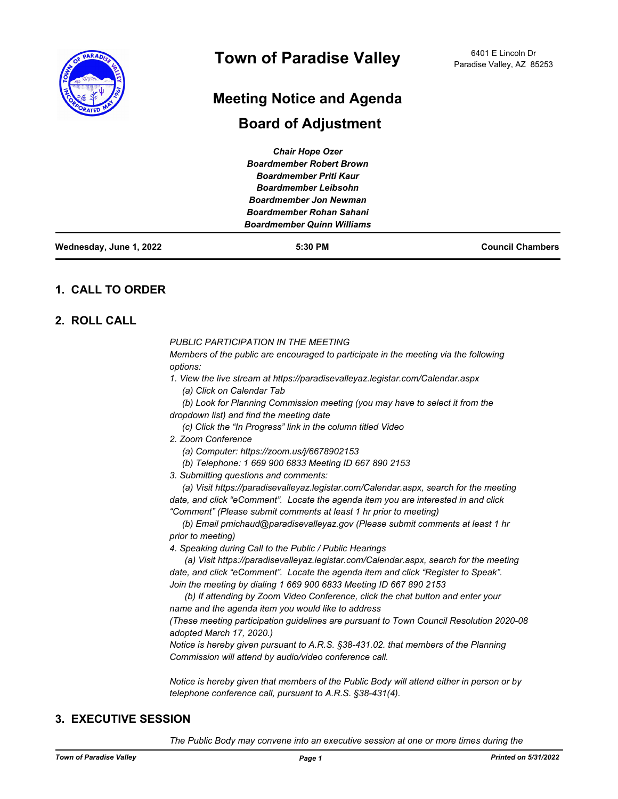

# **Meeting Notice and Agenda**

## **Board of Adjustment**

| Wednesday, June 1, 2022 | 5:30 PM                                                          | <b>Council Chambers</b> |
|-------------------------|------------------------------------------------------------------|-------------------------|
|                         | <b>Boardmember Quinn Williams</b>                                |                         |
|                         | <b>Boardmember Jon Newman</b><br><b>Boardmember Rohan Sahani</b> |                         |
|                         |                                                                  |                         |
|                         | <b>Boardmember Leibsohn</b>                                      |                         |
|                         | <b>Boardmember Priti Kaur</b>                                    |                         |
|                         | <b>Boardmember Robert Brown</b>                                  |                         |
|                         | <b>Chair Hope Ozer</b>                                           |                         |

## **1. CALL TO ORDER**

## **2. ROLL CALL**

*PUBLIC PARTICIPATION IN THE MEETING*

*Members of the public are encouraged to participate in the meeting via the following options:*

- *1. View the live stream at https://paradisevalleyaz.legistar.com/Calendar.aspx (a) Click on Calendar Tab*
- *(b) Look for Planning Commission meeting (you may have to select it from the*
- *dropdown list) and find the meeting date*
	- *(c) Click the "In Progress" link in the column titled Video*
- *2. Zoom Conference* 
	- *(a) Computer: https://zoom.us/j/6678902153*
	- *(b) Telephone: 1 669 900 6833 Meeting ID 667 890 2153*
- *3. Submitting questions and comments:*

 *(a) Visit https://paradisevalleyaz.legistar.com/Calendar.aspx, search for the meeting date, and click "eComment". Locate the agenda item you are interested in and click "Comment" (Please submit comments at least 1 hr prior to meeting)*

 *(b) Email pmichaud@paradisevalleyaz.gov (Please submit comments at least 1 hr prior to meeting)*

*4. Speaking during Call to the Public / Public Hearings*

 *(a) Visit https://paradisevalleyaz.legistar.com/Calendar.aspx, search for the meeting date, and click "eComment". Locate the agenda item and click "Register to Speak". Join the meeting by dialing 1 669 900 6833 Meeting ID 667 890 2153* 

 *(b) If attending by Zoom Video Conference, click the chat button and enter your name and the agenda item you would like to address*

*(These meeting participation guidelines are pursuant to Town Council Resolution 2020-08 adopted March 17, 2020.)*

*Notice is hereby given pursuant to A.R.S. §38-431.02. that members of the Planning Commission will attend by audio/video conference call.*

*Notice is hereby given that members of the Public Body will attend either in person or by telephone conference call, pursuant to A.R.S. §38-431(4).*

## **3. EXECUTIVE SESSION**

*The Public Body may convene into an executive session at one or more times during the*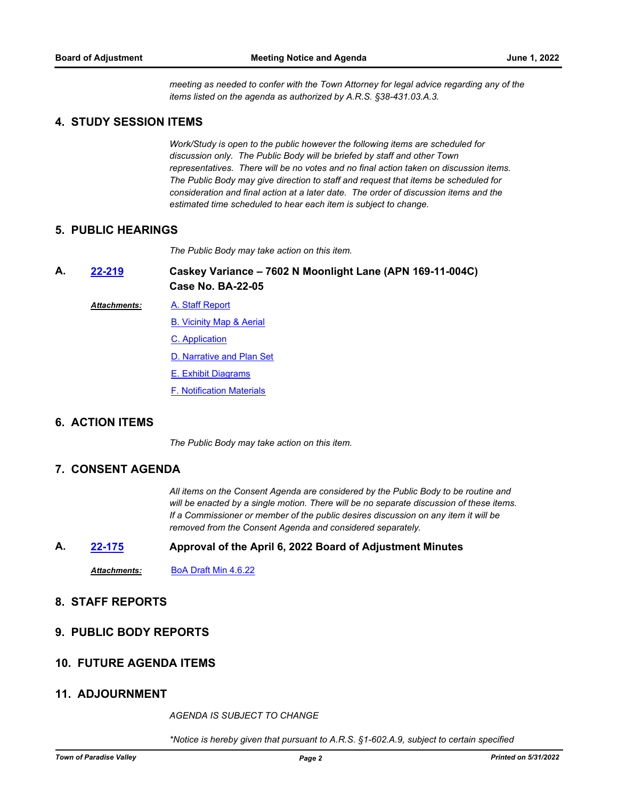*meeting as needed to confer with the Town Attorney for legal advice regarding any of the items listed on the agenda as authorized by A.R.S. §38-431.03.A.3.*

## **4. STUDY SESSION ITEMS**

*Work/Study is open to the public however the following items are scheduled for discussion only. The Public Body will be briefed by staff and other Town representatives. There will be no votes and no final action taken on discussion items. The Public Body may give direction to staff and request that items be scheduled for consideration and final action at a later date. The order of discussion items and the estimated time scheduled to hear each item is subject to change.*

#### **5. PUBLIC HEARINGS**

*The Public Body may take action on this item.*

**Caskey Variance – 7602 N Moonlight Lane (APN 169-11-004C) Case No. BA-22-05 A. [22-219](http://paradisevalleyaz.legistar.com/gateway.aspx?m=l&id=/matter.aspx?key=4317)**

[A. Staff Report](http://paradisevalleyaz.legistar.com/gateway.aspx?M=F&ID=f3e66087-3bd2-4b15-940e-c3b558e993bd.docx) *Attachments:*

[B. Vicinity Map & Aerial](http://paradisevalleyaz.legistar.com/gateway.aspx?M=F&ID=9aba45eb-9070-4742-b2b2-f021181e9604.pdf)

- [C. Application](http://paradisevalleyaz.legistar.com/gateway.aspx?M=F&ID=42d3ffcb-0df0-4644-9e3a-c864904b6d16.pdf)
- [D. Narrative and Plan Set](http://paradisevalleyaz.legistar.com/gateway.aspx?M=F&ID=972e8562-6e47-4543-b26d-c1bcef5c118e.pdf)
- [E. Exhibit Diagrams](http://paradisevalleyaz.legistar.com/gateway.aspx?M=F&ID=387af24f-338a-46ba-a413-680f143d02ee.pdf)
- [F. Notification Materials](http://paradisevalleyaz.legistar.com/gateway.aspx?M=F&ID=2e00433f-b8e5-4522-936b-f41cac100514.pdf)

## **6. ACTION ITEMS**

*The Public Body may take action on this item.*

#### **7. CONSENT AGENDA**

*All items on the Consent Agenda are considered by the Public Body to be routine and will be enacted by a single motion. There will be no separate discussion of these items. If a Commissioner or member of the public desires discussion on any item it will be removed from the Consent Agenda and considered separately.*

#### **A. [22-175](http://paradisevalleyaz.legistar.com/gateway.aspx?m=l&id=/matter.aspx?key=4273) Approval of the April 6, 2022 Board of Adjustment Minutes**

*Attachments:* [BoA Draft Min 4.6.22](http://paradisevalleyaz.legistar.com/gateway.aspx?M=F&ID=253a1727-da99-47fb-84a9-c3bbce7dab90.pdf)

## **8. STAFF REPORTS**

**9. PUBLIC BODY REPORTS**

#### **10. FUTURE AGENDA ITEMS**

## **11. ADJOURNMENT**

*AGENDA IS SUBJECT TO CHANGE*

*\*Notice is hereby given that pursuant to A.R.S. §1-602.A.9, subject to certain specified*